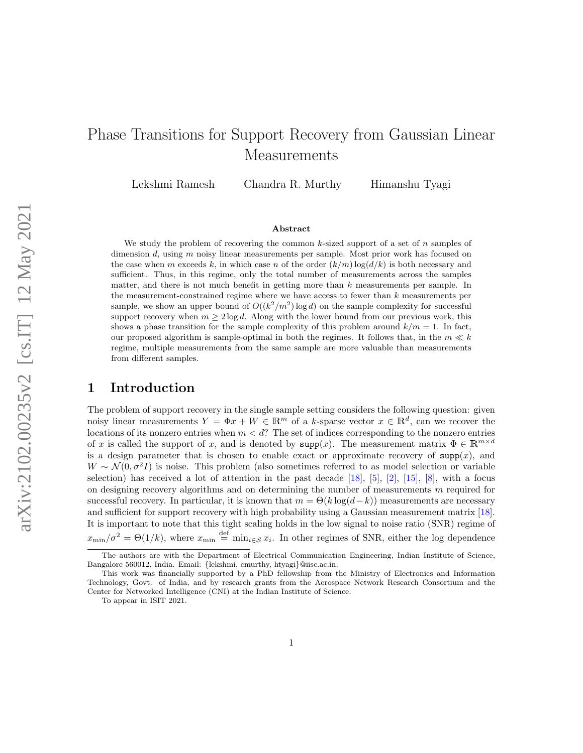# <span id="page-0-0"></span>Phase Transitions for Support Recovery from Gaussian Linear Measurements

Lekshmi Ramesh Chandra R. Murthy Himanshu Tyagi

#### Abstract

We study the problem of recovering the common k-sized support of a set of n samples of dimension d, using m noisy linear measurements per sample. Most prior work has focused on the case when m exceeds k, in which case n of the order  $(k/m) \log(d/k)$  is both necessary and sufficient. Thus, in this regime, only the total number of measurements across the samples matter, and there is not much benefit in getting more than k measurements per sample. In the measurement-constrained regime where we have access to fewer than  $k$  measurements per sample, we show an upper bound of  $O((k^2/m^2) \log d)$  on the sample complexity for successful support recovery when  $m \geq 2 \log d$ . Along with the lower bound from our previous work, this shows a phase transition for the sample complexity of this problem around  $k/m = 1$ . In fact, our proposed algorithm is sample-optimal in both the regimes. It follows that, in the  $m \ll k$ regime, multiple measurements from the same sample are more valuable than measurements from different samples.

## 1 Introduction

The problem of support recovery in the single sample setting considers the following question: given noisy linear measurements  $Y = \Phi x + W \in \mathbb{R}^m$  of a k-sparse vector  $x \in \mathbb{R}^d$ , can we recover the locations of its nonzero entries when  $m < d$ ? The set of indices corresponding to the nonzero entries of x is called the support of x, and is denoted by  $\text{supp}(x)$ . The measurement matrix  $\Phi \in \mathbb{R}^{m \times d}$ is a design parameter that is chosen to enable exact or approximate recovery of  $\text{supp}(x)$ , and  $W \sim \mathcal{N}(0, \sigma^2 I)$  is noise. This problem (also sometimes referred to as model selection or variable selection) has received a lot of attention in the past decade [\[18\]](#page-12-0), [\[5\]](#page-12-1), [\[2\]](#page-11-0), [\[15\]](#page-12-2), [\[8\]](#page-12-3), with a focus on designing recovery algorithms and on determining the number of measurements  $m$  required for successful recovery. In particular, it is known that  $m = \Theta(k \log(d-k))$  measurements are necessary and sufficient for support recovery with high probability using a Gaussian measurement matrix [\[18\]](#page-12-0). It is important to note that this tight scaling holds in the low signal to noise ratio (SNR) regime of  $x_{\min}/\sigma^2 = \Theta(1/k)$ , where  $x_{\min} \stackrel{\text{def}}{=} \min_{i \in \mathcal{S}} x_i$ . In other regimes of SNR, either the log dependence

The authors are with the Department of Electrical Communication Engineering, Indian Institute of Science, Bangalore 560012, India. Email: {lekshmi, cmurthy, htyagi}@iisc.ac.in.

This work was financially supported by a PhD fellowship from the Ministry of Electronics and Information Technology, Govt. of India, and by research grants from the Aerospace Network Research Consortium and the Center for Networked Intelligence (CNI) at the Indian Institute of Science.

To appear in ISIT 2021.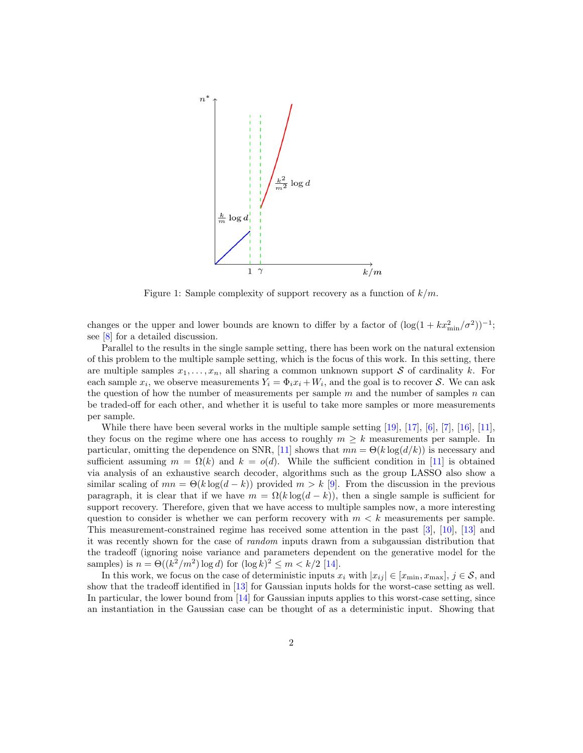<span id="page-1-0"></span>

Figure 1: Sample complexity of support recovery as a function of  $k/m$ .

changes or the upper and lower bounds are known to differ by a factor of  $(\log(1 + kx_{\min}^2/\sigma^2))^{-1}$ ; see [\[8\]](#page-12-3) for a detailed discussion.

Parallel to the results in the single sample setting, there has been work on the natural extension of this problem to the multiple sample setting, which is the focus of this work. In this setting, there are multiple samples  $x_1, \ldots, x_n$ , all sharing a common unknown support S of cardinality k. For each sample  $x_i$ , we observe measurements  $Y_i = \Phi_i x_i + W_i$ , and the goal is to recover S. We can ask the question of how the number of measurements per sample  $m$  and the number of samples  $n$  can be traded-off for each other, and whether it is useful to take more samples or more measurements per sample.

While there have been several works in the multiple sample setting [\[19\]](#page-12-4), [\[17\]](#page-12-5), [\[6\]](#page-12-6), [\[7\]](#page-12-7), [\[16\]](#page-12-8), [\[11\]](#page-12-9), they focus on the regime where one has access to roughly  $m \geq k$  measurements per sample. In particular, omitting the dependence on SNR, [\[11\]](#page-12-9) shows that  $mn = \Theta(k \log(d/k))$  is necessary and sufficient assuming  $m = \Omega(k)$  and  $k = o(d)$ . While the sufficient condition in [\[11\]](#page-12-9) is obtained via analysis of an exhaustive search decoder, algorithms such as the group LASSO also show a similar scaling of  $mn = \Theta(k \log(d - k))$  provided  $m > k$  [\[9\]](#page-12-10). From the discussion in the previous paragraph, it is clear that if we have  $m = \Omega(k \log(d - k))$ , then a single sample is sufficient for support recovery. Therefore, given that we have access to multiple samples now, a more interesting question to consider is whether we can perform recovery with  $m < k$  measurements per sample. This measurement-constrained regime has received some attention in the past [\[3\]](#page-11-1), [\[10\]](#page-12-11), [\[13\]](#page-12-12) and it was recently shown for the case of random inputs drawn from a subgaussian distribution that the tradeoff (ignoring noise variance and parameters dependent on the generative model for the samples) is  $n = \Theta((k^2/m^2) \log d)$  for  $(\log k)^2 \le m < k/2$  [\[14\]](#page-12-13).

In this work, we focus on the case of deterministic inputs  $x_i$  with  $|x_{ij}| \in [x_{\min}, x_{\max}], j \in \mathcal{S}$ , and show that the tradeoff identified in [\[13\]](#page-12-12) for Gaussian inputs holds for the worst-case setting as well. In particular, the lower bound from [\[14\]](#page-12-13) for Gaussian inputs applies to this worst-case setting, since an instantiation in the Gaussian case can be thought of as a deterministic input. Showing that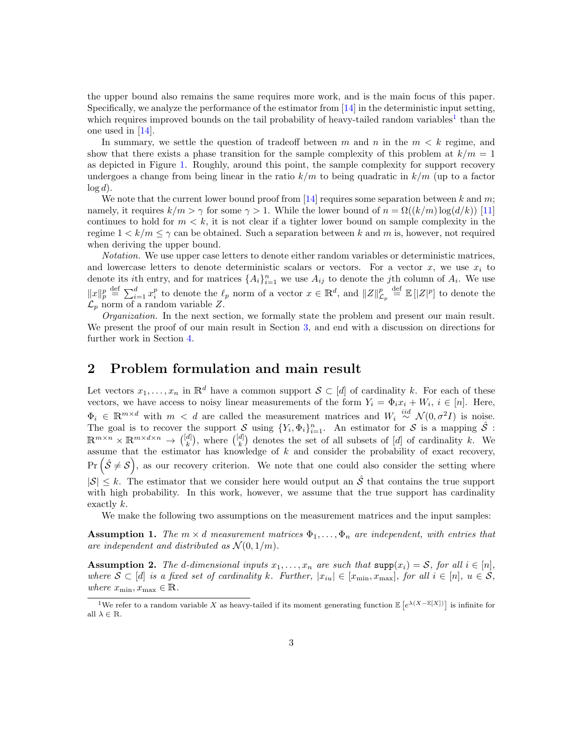the upper bound also remains the same requires more work, and is the main focus of this paper. Specifically, we analyze the performance of the estimator from [\[14\]](#page-12-13) in the deterministic input setting, which requires improved bounds on the tail probability of heavy-tailed random variables<sup>[1](#page-0-0)</sup> than the one used in [\[14\]](#page-12-13).

In summary, we settle the question of tradeoff between m and n in the  $m < k$  regime, and show that there exists a phase transition for the sample complexity of this problem at  $k/m = 1$ as depicted in Figure [1.](#page-1-0) Roughly, around this point, the sample complexity for support recovery undergoes a change from being linear in the ratio  $k/m$  to being quadratic in  $k/m$  (up to a factor  $\log d$ ).

We note that the current lower bound proof from [\[14\]](#page-12-13) requires some separation between k and m; namely, it requires  $k/m > \gamma$  for some  $\gamma > 1$ . While the lower bound of  $n = \Omega((k/m) \log(d/k))$  [\[11\]](#page-12-9) continues to hold for  $m < k$ , it is not clear if a tighter lower bound on sample complexity in the regime  $1 \leq k/m \leq \gamma$  can be obtained. Such a separation between k and m is, however, not required when deriving the upper bound.

Notation. We use upper case letters to denote either random variables or deterministic matrices, and lowercase letters to denote deterministic scalars or vectors. For a vector  $x$ , we use  $x_i$  to denote its *i*th entry, and for matrices  $\{A_i\}_{i=1}^n$  we use  $A_{ij}$  to denote the *j*th column of  $A_i$ . We use  $||x||_p^p \stackrel{\text{def}}{=} \sum_{i=1}^d x_i^p$  to denote the  $\ell_p$  norm of a vector  $x \in \mathbb{R}^d$ , and  $||Z||_{\mathcal{L}_p}^p \stackrel{\text{def}}{=} \mathbb{E}[|Z|^p]$  to denote the  $\mathcal{L}_p$  norm of a random variable Z.

*Organization*. In the next section, we formally state the problem and present our main result. We present the proof of our main result in Section [3,](#page-3-0) and end with a discussion on directions for further work in Section [4.](#page-7-0)

## 2 Problem formulation and main result

Let vectors  $x_1, \ldots, x_n$  in  $\mathbb{R}^d$  have a common support  $S \subset [d]$  of cardinality k. For each of these vectors, we have access to noisy linear measurements of the form  $Y_i = \Phi_i x_i + W_i$ ,  $i \in [n]$ . Here,  $\Phi_i \in \mathbb{R}^{m \times d}$  with  $m < d$  are called the measurement matrices and  $W_i \stackrel{iid}{\sim} \mathcal{N}(0, \sigma^2 I)$  is noise. The goal is to recover the support S using  $\{Y_i, \Phi_i\}_{i=1}^n$ . An estimator for S is a mapping  $\hat{S}$ :  $\mathbb{R}^{m \times n} \times \mathbb{R}^{m \times d \times n} \to \binom{[d]}{k}$ , where  $\binom{[d]}{k}$  denotes the set of all subsets of  $[d]$  of cardinality k. We assume that the estimator has knowledge of  $k$  and consider the probability of exact recovery,  $\Pr\left(\hat{\mathcal{S}} \neq \mathcal{S}\right)$ , as our recovery criterion. We note that one could also consider the setting where  $|\mathcal{S}| \leq k$ . The estimator that we consider here would output an  $\hat{\mathcal{S}}$  that contains the true support with high probability. In this work, however, we assume that the true support has cardinality exactly k.

We make the following two assumptions on the measurement matrices and the input samples:

<span id="page-2-0"></span>**Assumption 1.** The  $m \times d$  measurement matrices  $\Phi_1, \ldots, \Phi_n$  are independent, with entries that are independent and distributed as  $\mathcal{N}(0, 1/m)$ .

<span id="page-2-1"></span>**Assumption 2.** The d-dimensional inputs  $x_1, \ldots, x_n$  are such that  $\text{supp}(x_i) = \mathcal{S}$ , for all  $i \in [n]$ , where  $S \subset [d]$  is a fixed set of cardinality k. Further,  $|x_{iu}| \in [x_{min}, x_{max}]$ , for all  $i \in [n]$ ,  $u \in S$ , where  $x_{\min}, x_{\max} \in \mathbb{R}$ .

<sup>&</sup>lt;sup>1</sup>We refer to a random variable X as heavy-tailed if its moment generating function  $\mathbb{E}\left[e^{\lambda(X-\mathbb{E}[X])}\right]$  is infinite for all  $\lambda \in \mathbb{R}$ .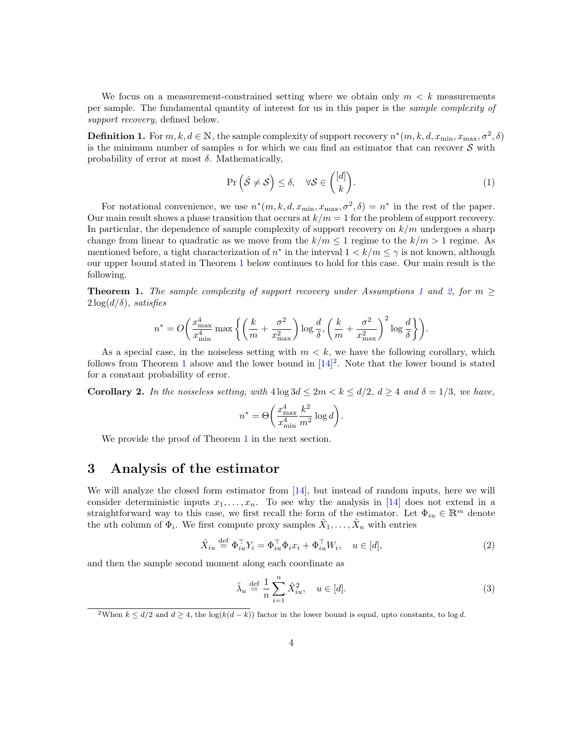We focus on a measurement-constrained setting where we obtain only  $m < k$  measurements per sample. The fundamental quantity of interest for us in this paper is the sample complexity of support recovery, defined below.

**Definition 1.** For  $m, k, d \in \mathbb{N}$ , the sample complexity of support recovery  $n^*(m, k, d, x_{\min}, x_{\max}, \sigma^2, \delta)$ is the minimum number of samples n for which we can find an estimator that can recover  $S$  with probability of error at most  $\delta$ . Mathematically,

$$
\Pr\left(\hat{\mathcal{S}} \neq \mathcal{S}\right) \le \delta, \quad \forall \mathcal{S} \in \binom{[d]}{k}.\tag{1}
$$

For notational convenience, we use  $n^*(m, k, d, x_{\min}, x_{\max}, \sigma^2, \delta) = n^*$  in the rest of the paper. Our main result shows a phase transition that occurs at  $k/m = 1$  for the problem of support recovery. In particular, the dependence of sample complexity of support recovery on  $k/m$  undergoes a sharp change from linear to quadratic as we move from the  $k/m \leq 1$  regime to the  $k/m > 1$  regime. As mentioned before, a tight characterization of  $n^*$  in the interval  $1 < k/m \leq \gamma$  is not known, although our upper bound stated in Theorem [1](#page-3-1) below continues to hold for this case. Our main result is the following.

<span id="page-3-1"></span>**Theorem [1](#page-2-0).** The sample complexity of support recovery under Assumptions 1 and [2,](#page-2-1) for  $m \geq$  $2\log(d/\delta)$ , satisfies

$$
n^* = O\bigg(\frac{x_{\text{max}}^4}{x_{\text{min}}^4}\max\bigg\{\bigg(\frac{k}{m} + \frac{\sigma^2}{x_{\text{max}}^2}\bigg)\log\frac{d}{\delta}, \bigg(\frac{k}{m} + \frac{\sigma^2}{x_{\text{max}}^2}\bigg)^2\log\frac{d}{\delta}\bigg\}\bigg).
$$

As a special case, in the noiseless setting with  $m < k$ , we have the following corollary, which follows from Theorem [1](#page-3-1) above and the lower bound in  $[14]^2$  $[14]^2$ . Note that the lower bound is stated for a constant probability of error.

**Corollary 2.** In the noiseless setting, with  $4 \log 3d \leq 2m < k \leq d/2$ ,  $d \geq 4$  and  $\delta = 1/3$ , we have,

$$
n^* = \Theta\bigg(\frac{x_{\text{max}}^4}{x_{\text{min}}^4} \frac{k^2}{m^2} \log d\bigg).
$$

We provide the proof of Theorem [1](#page-3-1) in the next section.

## <span id="page-3-0"></span>3 Analysis of the estimator

We will analyze the closed form estimator from  $[14]$ , but instead of random inputs, here we will consider deterministic inputs  $x_1, \ldots, x_n$ . To see why the analysis in [\[14\]](#page-12-13) does not extend in a straightforward way to this case, we first recall the form of the estimator. Let  $\Phi_{in} \in \mathbb{R}^m$  denote the *uth* column of  $\Phi_i$ . We first compute proxy samples  $\hat{X}_1, \ldots, \hat{X}_n$  with entries

$$
\hat{X}_{iu} \stackrel{\text{def}}{=} \Phi_{iu}^\top Y_i = \Phi_{iu}^\top \Phi_i x_i + \Phi_{iu}^\top W_i, \quad u \in [d],\tag{2}
$$

and then the sample second moment along each coordinate as

<span id="page-3-3"></span><span id="page-3-2"></span>
$$
\tilde{\lambda}_u \stackrel{\text{def}}{=} \frac{1}{n} \sum_{i=1}^n \hat{X}_{iu}^2, \quad u \in [d]. \tag{3}
$$

<sup>&</sup>lt;sup>2</sup>When  $k \le d/2$  and  $d \ge 4$ , the log( $k(d-k)$ ) factor in the lower bound is equal, upto constants, to log d.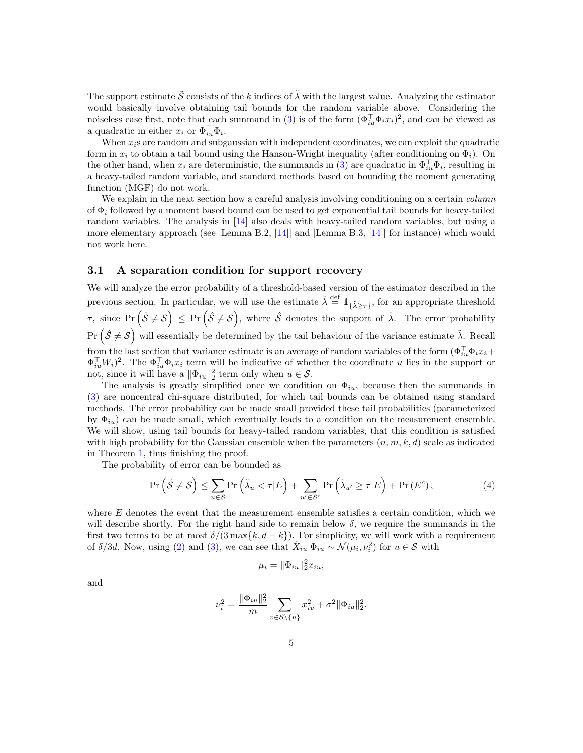The support estimate  $\tilde{\mathcal{S}}$  consists of the k indices of  $\tilde{\lambda}$  with the largest value. Analyzing the estimator would basically involve obtaining tail bounds for the random variable above. Considering the noiseless case first, note that each summand in [\(3\)](#page-3-2) is of the form  $(\Phi_{iu}^{\top}\Phi_i x_i)^2$ , and can be viewed as a quadratic in either  $x_i$  or  $\Phi_{iu}^{\top} \Phi_i$ .

When  $x_i$ s are random and subgaussian with independent coordinates, we can exploit the quadratic form in  $x_i$  to obtain a tail bound using the Hanson-Wright inequality (after conditioning on  $\Phi_i$ ). On the other hand, when  $x_i$  are deterministic, the summands in [\(3\)](#page-3-2) are quadratic in  $\Phi_{iu}^{\top} \Phi_i$ , resulting in a heavy-tailed random variable, and standard methods based on bounding the moment generating function (MGF) do not work.

We explain in the next section how a careful analysis involving conditioning on a certain *column* of  $\Phi_i$  followed by a moment based bound can be used to get exponential tail bounds for heavy-tailed random variables. The analysis in [\[14\]](#page-12-13) also deals with heavy-tailed random variables, but using a more elementary approach (see [Lemma B.2, [\[14\]](#page-12-13)] and [Lemma B.3, [\[14\]](#page-12-13)] for instance) which would not work here.

#### 3.1 A separation condition for support recovery

We will analyze the error probability of a threshold-based version of the estimator described in the previous section. In particular, we will use the estimate  $\hat{\lambda} \stackrel{\text{def}}{=} \mathbb{1}_{\{\tilde{\lambda} \geq \tau\}}$ , for an appropriate threshold  $\tau$ , since  $\Pr\left(\tilde{\mathcal{S}}\neq\mathcal{S}\right) \leq \Pr\left(\hat{\mathcal{S}}\neq\mathcal{S}\right)$ , where  $\hat{\mathcal{S}}$  denotes the support of  $\hat{\lambda}$ . The error probability  $\Pr\left(\hat{\mathcal{S}}\neq\mathcal{S}\right)$  will essentially be determined by the tail behaviour of the variance estimate  $\tilde{\lambda}$ . Recall from the last section that variance estimate is an average of random variables of the form  $(\Phi_{iu}^{\top}\Phi_i x_i +$  $\Phi_{iu}^{\top}W_i$ <sup>2</sup>. The  $\Phi_{iu}^{\top}\Phi_ix_i$  term will be indicative of whether the coordinate u lies in the support or not, since it will have a  $\|\Phi_{iu}\|_2^2$  term only when  $u \in \mathcal{S}$ .

The analysis is greatly simplified once we condition on  $\Phi_{iu}$ , because then the summands in [\(3\)](#page-3-2) are noncentral chi-square distributed, for which tail bounds can be obtained using standard methods. The error probability can be made small provided these tail probabilities (parameterized by  $\Phi_{iu}$ ) can be made small, which eventually leads to a condition on the measurement ensemble. We will show, using tail bounds for heavy-tailed random variables, that this condition is satisfied with high probability for the Gaussian ensemble when the parameters  $(n, m, k, d)$  scale as indicated in Theorem [1,](#page-3-1) thus finishing the proof.

The probability of error can be bounded as

$$
\Pr\left(\hat{\mathcal{S}} \neq \mathcal{S}\right) \le \sum_{u \in \mathcal{S}} \Pr\left(\tilde{\lambda}_u < \tau | E\right) + \sum_{u' \in \mathcal{S}^c} \Pr\left(\tilde{\lambda}_{u'} \ge \tau | E\right) + \Pr\left(E^c\right),\tag{4}
$$

where  $E$  denotes the event that the measurement ensemble satisfies a certain condition, which we will describe shortly. For the right hand side to remain below  $\delta$ , we require the summands in the first two terms to be at most  $\delta/(3 \max\{k, d - k\})$ . For simplicity, we will work with a requirement of  $\delta/3d$ . Now, using [\(2\)](#page-3-3) and [\(3\)](#page-3-2), we can see that  $\hat{X}_{iu}|\Phi_{iu} \sim \mathcal{N}(\mu_i, \nu_i^2)$  for  $u \in \mathcal{S}$  with

<span id="page-4-0"></span>
$$
\mu_i = \|\Phi_{iu}\|_2^2 x_{iu},
$$

and

$$
\nu_i^2 = \frac{\|\Phi_{iu}\|_2^2}{m} \sum_{v \in S \setminus \{u\}} x_{iv}^2 + \sigma^2 \|\Phi_{iu}\|_2^2.
$$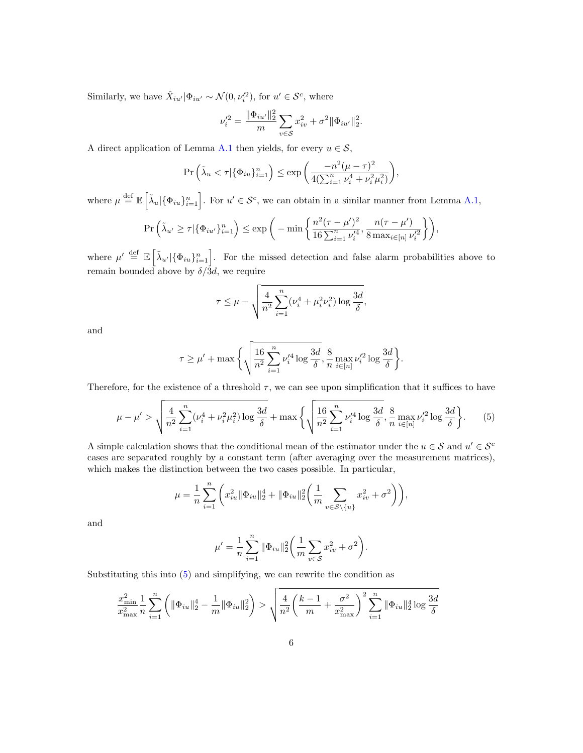Similarly, we have  $\hat{X}_{iu'}|\Phi_{iu'} \sim \mathcal{N}(0, \nu'^{2}_{i}),$  for  $u' \in \mathcal{S}^{c}$ , where

$$
\nu'^2_i = \frac{\|\Phi_{iu'}\|_2^2}{m} \sum_{v \in \mathcal{S}} x_{iv}^2 + \sigma^2 \|\Phi_{iu'}\|_2^2.
$$

A direct application of Lemma [A.1](#page-7-1) then yields, for every  $u \in \mathcal{S}$ ,

$$
\Pr\left(\tilde{\lambda}_u < \tau | \{\Phi_{iu}\}_{i=1}^n\right) \le \exp\left(\frac{-n^2(\mu-\tau)^2}{4(\sum_{i=1}^n \nu_i^4 + \nu_i^2 \mu_i^2)}\right),
$$

where  $\mu \stackrel{\text{def}}{=} \mathbb{E} \left[ \tilde{\lambda}_u | \{\Phi_{iu}\}_{i=1}^n \right]$ . For  $u' \in \mathcal{S}^c$ , we can obtain in a similar manner from Lemma [A.1,](#page-7-1)

$$
\Pr\left(\tilde{\lambda}_{u'} \ge \tau | \{\Phi_{iu'}\}_{i=1}^n\right) \le \exp\bigg(-\min\bigg\{\frac{n^2(\tau-\mu')^2}{16\sum_{i=1}^n \nu_i'^4}, \frac{n(\tau-\mu')}{8\max_{i\in[n]} \nu_i'^2}\bigg\}\bigg),
$$

where  $\mu' \stackrel{\text{def}}{=} \mathbb{E} \left[ \tilde{\lambda}_{u'} | \{\Phi_{iu}\}_{i=1}^n \right]$ . For the missed detection and false alarm probabilities above to remain bounded above by  $\delta/\overline{3}d$ , we require

<span id="page-5-0"></span>
$$
\tau \leq \mu - \sqrt{\frac{4}{n^2} \sum_{i=1}^n (\nu_i^4 + \mu_i^2 \nu_i^2) \log \frac{3d}{\delta}},
$$

and

$$
\tau \geq \mu' + \max\bigg\{\sqrt{\frac{16}{n^2} \sum_{i=1}^n \nu_i'^4 \log \frac{3d}{\delta}}, \frac{8}{n} \max_{i \in [n]} \nu_i'^2 \log \frac{3d}{\delta}\bigg\}.
$$

Therefore, for the existence of a threshold  $\tau$ , we can see upon simplification that it suffices to have

$$
\mu - \mu' > \sqrt{\frac{4}{n^2} \sum_{i=1}^n (\nu_i^4 + \nu_i^2 \mu_i^2) \log \frac{3d}{\delta}} + \max \left\{ \sqrt{\frac{16}{n^2} \sum_{i=1}^n \nu_i'^4 \log \frac{3d}{\delta}}, \frac{8}{n} \max_{i \in [n]} \nu_i'^2 \log \frac{3d}{\delta} \right\}. \tag{5}
$$

A simple calculation shows that the conditional mean of the estimator under the  $u \in \mathcal{S}$  and  $u' \in \mathcal{S}^c$ cases are separated roughly by a constant term (after averaging over the measurement matrices), which makes the distinction between the two cases possible. In particular,

$$
\mu = \frac{1}{n}\sum_{i=1}^n\bigg(x_{iu}^2\|\Phi_{iu}\|_2^4 + \|\Phi_{iu}\|_2^2\bigg(\frac{1}{m}\sum_{v\in\mathcal{S}\backslash\{u\}}x_{iv}^2 + \sigma^2\bigg)\bigg),
$$

and

$$
\mu' = \frac{1}{n} \sum_{i=1}^{n} \|\Phi_{iu}\|_2^2 \bigg(\frac{1}{m} \sum_{v \in S} x_{iv}^2 + \sigma^2\bigg).
$$

Substituting this into [\(5\)](#page-5-0) and simplifying, we can rewrite the condition as

$$
\frac{x_{\min}^2}{x_{\max}^2} \frac{1}{n} \sum_{i=1}^n \left( \|\Phi_{iu}\|_2^4 - \frac{1}{m} \|\Phi_{iu}\|_2^2 \right) > \sqrt{\frac{4}{n^2} \left( \frac{k-1}{m} + \frac{\sigma^2}{x_{\max}^2} \right)^2 \sum_{i=1}^n \|\Phi_{iu}\|_2^4 \log \frac{3d}{\delta}}
$$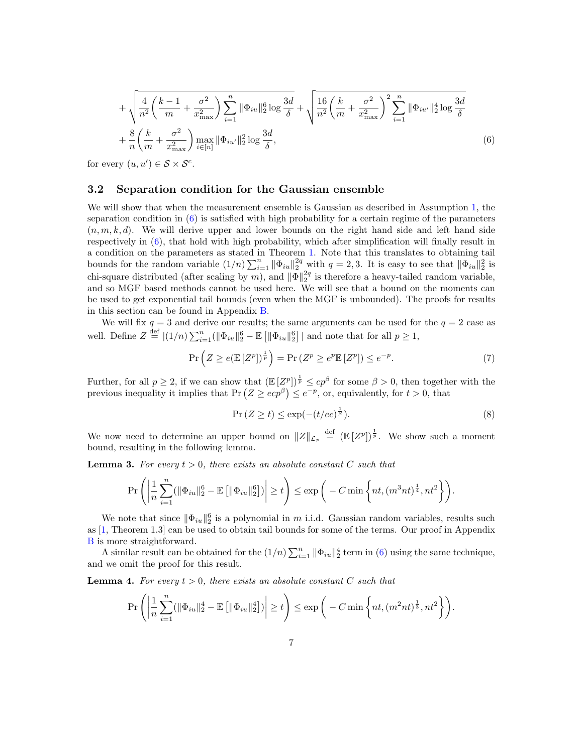<span id="page-6-0"></span>
$$
+\sqrt{\frac{4}{n^2}\left(\frac{k-1}{m}+\frac{\sigma^2}{x_{\text{max}}^2}\right)\sum_{i=1}^n \|\Phi_{iu}\|_2^6 \log\frac{3d}{\delta}} + \sqrt{\frac{16}{n^2}\left(\frac{k}{m}+\frac{\sigma^2}{x_{\text{max}}^2}\right)^2\sum_{i=1}^n \|\Phi_{iu'}\|_2^4 \log\frac{3d}{\delta}} + \frac{8}{n}\left(\frac{k}{m}+\frac{\sigma^2}{x_{\text{max}}^2}\right)\max_{i\in[n]}\|\Phi_{iu'}\|_2^2 \log\frac{3d}{\delta},
$$
\n(6)

for every  $(u, u') \in S \times S^c$ .

#### 3.2 Separation condition for the Gaussian ensemble

We will show that when the measurement ensemble is Gaussian as described in Assumption [1,](#page-2-0) the separation condition in [\(6\)](#page-6-0) is satisfied with high probability for a certain regime of the parameters  $(n, m, k, d)$ . We will derive upper and lower bounds on the right hand side and left hand side respectively in [\(6\)](#page-6-0), that hold with high probability, which after simplification will finally result in a condition on the parameters as stated in Theorem [1.](#page-3-1) Note that this translates to obtaining tail bounds for the random variable  $(1/n)\sum_{i=1}^n \|\Phi_{iu}\|_2^{2q}$  with  $q=2,3$ . It is easy to see that  $\|\Phi_{iu}\|_2^2$  is chi-square distributed (after scaling by m), and  $\|\Phi\|_2^{2q}$  is therefore a heavy-tailed random variable, and so MGF based methods cannot be used here. We will see that a bound on the moments can be used to get exponential tail bounds (even when the MGF is unbounded). The proofs for results in this section can be found in Appendix [B.](#page-9-0)

We will fix  $q = 3$  and derive our results; the same arguments can be used for the  $q = 2$  case as well. Define  $Z \stackrel{\text{def}}{=} |(1/n) \sum_{i=1}^n (||\Phi_{iu}||_2^6 - \mathbb{E} [||\Phi_{iu}||_2^6] |$  and note that for all  $p \ge 1$ ,

$$
\Pr\left(Z \ge e(\mathbb{E}\left[Z^p\right])^{\frac{1}{p}}\right) = \Pr\left(Z^p \ge e^p \mathbb{E}\left[Z^p\right]\right) \le e^{-p}.\tag{7}
$$

Further, for all  $p \geq 2$ , if we can show that  $(\mathbb{E}[Z^p])^{\frac{1}{p}} \leq cp^\beta$  for some  $\beta > 0$ , then together with the previous inequality it implies that  $Pr(Z \geq e^{\sigma \beta}) \leq e^{-p}$ , or, equivalently, for  $t > 0$ , that

<span id="page-6-3"></span><span id="page-6-2"></span>
$$
\Pr\left(Z \ge t\right) \le \exp(-(t/ec)^{\frac{1}{\beta}}). \tag{8}
$$

We now need to determine an upper bound on  $||Z||_{\mathcal{L}_p} \stackrel{\text{def}}{=} (E [Z^p])^{\frac{1}{p}}$ . We show such a moment bound, resulting in the following lemma.

<span id="page-6-1"></span>**Lemma 3.** For every  $t > 0$ , there exists an absolute constant C such that

$$
\Pr\left(\left|\frac{1}{n}\sum_{i=1}^n(\|\Phi_{iu}\|_2^6-\mathbb{E}\left[\|\Phi_{iu}\|_2^6\right])\right|\geq t\right)\leq \exp\bigg(-C\min\bigg\{nt,(m^3nt)^{\frac{1}{4}},nt^2\bigg\}\bigg).
$$

We note that since  $\|\Phi_{iu}\|_2^6$  is a polynomial in m i.i.d. Gaussian random variables, results such as [\[1,](#page-11-2) Theorem 1.3] can be used to obtain tail bounds for some of the terms. Our proof in Appendix [B](#page-9-0) is more straightforward.

A similar result can be obtained for the  $(1/n) \sum_{i=1}^{n} ||\Phi_{iu}||_2^4$  term in [\(6\)](#page-6-0) using the same technique, and we omit the proof for this result.

<span id="page-6-4"></span>**Lemma 4.** For every  $t > 0$ , there exists an absolute constant C such that

$$
\Pr\left(\left|\frac{1}{n}\sum_{i=1}^{n}(\|\Phi_{iu}\|_{2}^{4}-\mathbb{E}\left[\|\Phi_{iu}\|_{2}^{4}\right])\right|\geq t\right)\leq \exp\bigg(-C\min\bigg\{nt,(m^{2}nt)^{\frac{1}{3}},nt^{2}\bigg\}\bigg).
$$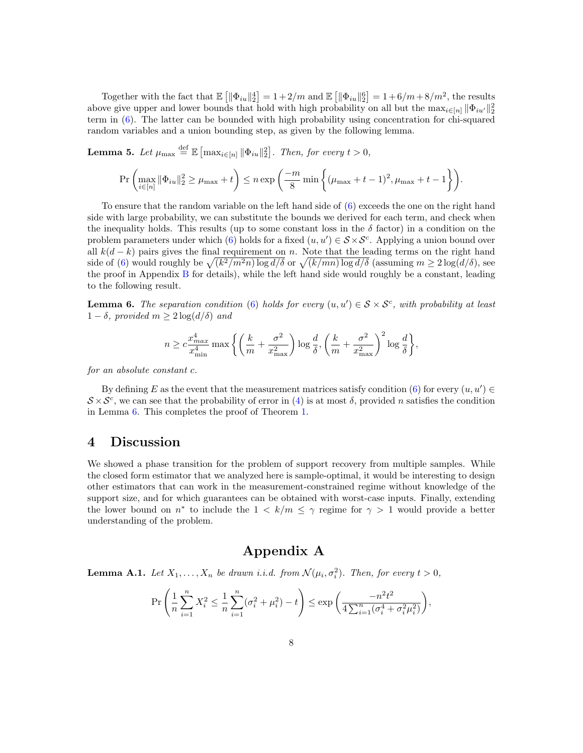Together with the fact that  $\mathbb{E} \left[ \|\Phi_{iu}\|_2^4 \right] = 1 + 2/m$  and  $\mathbb{E} \left[ \|\Phi_{iu}\|_2^6 \right] = 1 + 6/m + 8/m^2$ , the results above give upper and lower bounds that hold with high probability on all but the  $\max_{i \in [n]} ||\Phi_{iu'}||_2^2$ term in [\(6\)](#page-6-0). The latter can be bounded with high probability using concentration for chi-squared random variables and a union bounding step, as given by the following lemma.

<span id="page-7-3"></span>**Lemma 5.** Let 
$$
\mu_{\max} \stackrel{\text{def}}{=} \mathbb{E} \left[ \max_{i \in [n]} \| \Phi_{iu} \|_2^2 \right]
$$
. Then, for every  $t > 0$ ,  
\n
$$
\Pr \left( \max_{i \in [n]} \| \Phi_{iu} \|_2^2 \ge \mu_{\max} + t \right) \le n \exp \left( \frac{-m}{8} \min \left\{ (\mu_{\max} + t - 1)^2, \mu_{\max} + t - 1 \right\} \right).
$$

To ensure that the random variable on the left hand side of [\(6\)](#page-6-0) exceeds the one on the right hand side with large probability, we can substitute the bounds we derived for each term, and check when the inequality holds. This results (up to some constant loss in the  $\delta$  factor) in a condition on the problem parameters under which [\(6\)](#page-6-0) holds for a fixed  $(u, u') \in S \times S^c$ . Applying a union bound over all  $k(d-k)$  pairs gives the final requirement on n. Note that the leading terms on the right hand side of [\(6\)](#page-6-0) would roughly be  $\sqrt{(k^2/m^2n)\log d/\delta}$  or  $\sqrt{(k/mn)\log d/\delta}$  (assuming  $m \geq 2\log(d/\delta)$ , see the proof in Appendix [B](#page-9-0) for details), while the left hand side would roughly be a constant, leading to the following result.

<span id="page-7-2"></span>**Lemma 6.** The separation condition [\(6\)](#page-6-0) holds for every  $(u, u') \in S \times S^c$ , with probability at least  $1 - \delta$ , provided  $m > 2 \log(d/\delta)$  and

$$
n \geq c \frac{x_{max}^4}{x_{\min}^4} \max\bigg\{\bigg(\frac{k}{m} + \frac{\sigma^2}{x_{\max}^2}\bigg) \log \frac{d}{\delta}, \bigg(\frac{k}{m} + \frac{\sigma^2}{x_{\max}^2}\bigg)^2 \log \frac{d}{\delta}\bigg\},
$$

for an absolute constant c.

By defining E as the event that the measurement matrices satisfy condition  $(6)$  for every  $(u, u') \in$  $S \times S^c$ , we can see that the probability of error in [\(4\)](#page-4-0) is at most  $\delta$ , provided n satisfies the condition in Lemma [6.](#page-7-2) This completes the proof of Theorem [1.](#page-3-1)

### <span id="page-7-0"></span>4 Discussion

We showed a phase transition for the problem of support recovery from multiple samples. While the closed form estimator that we analyzed here is sample-optimal, it would be interesting to design other estimators that can work in the measurement-constrained regime without knowledge of the support size, and for which guarantees can be obtained with worst-case inputs. Finally, extending the lower bound on  $n^*$  to include the  $1 \leq k/m \leq \gamma$  regime for  $\gamma > 1$  would provide a better understanding of the problem.

## Appendix A

<span id="page-7-1"></span>**Lemma A.1.** Let  $X_1, \ldots, X_n$  be drawn i.i.d. from  $\mathcal{N}(\mu_i, \sigma_i^2)$ . Then, for every  $t > 0$ ,

$$
\Pr\left(\frac{1}{n}\sum_{i=1}^{n}X_i^2 \le \frac{1}{n}\sum_{i=1}^{n}(\sigma_i^2 + \mu_i^2) - t\right) \le \exp\left(\frac{-n^2t^2}{4\sum_{i=1}^{n}(\sigma_i^4 + \sigma_i^2\mu_i^2)}\right),
$$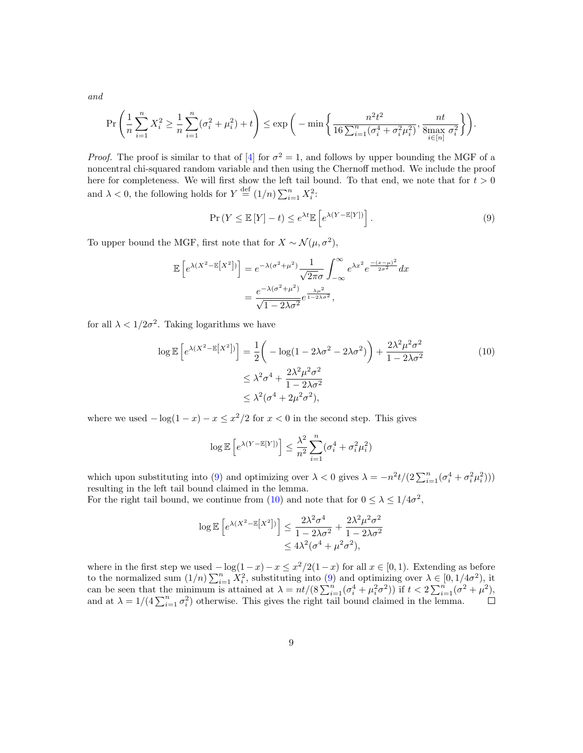and

$$
\Pr\left(\frac{1}{n}\sum_{i=1}^{n}X_i^2 \ge \frac{1}{n}\sum_{i=1}^{n}(\sigma_i^2 + \mu_i^2) + t\right) \le \exp\bigg(-\min\bigg\{\frac{n^2t^2}{16\sum_{i=1}^{n}(\sigma_i^4 + \sigma_i^2\mu_i^2)},\frac{nt}{8\max\limits_{i\in[n]}\sigma_i^2}\bigg\}\bigg).
$$

*Proof.* The proof is similar to that of [\[4\]](#page-11-3) for  $\sigma^2 = 1$ , and follows by upper bounding the MGF of a noncentral chi-squared random variable and then using the Chernoff method. We include the proof here for completeness. We will first show the left tail bound. To that end, we note that for  $t > 0$ and  $\lambda < 0$ , the following holds for  $Y \stackrel{\text{def}}{=} (1/n) \sum_{i=1}^{n} X_i^2$ .

$$
\Pr(Y \le \mathbb{E}[Y] - t) \le e^{\lambda t} \mathbb{E}\left[e^{\lambda(Y - \mathbb{E}[Y])}\right].\tag{9}
$$

To upper bound the MGF, first note that for  $X \sim \mathcal{N}(\mu, \sigma^2)$ ,

$$
\mathbb{E}\left[e^{\lambda(X^2-\mathbb{E}\left[X^2\right])}\right] = e^{-\lambda(\sigma^2+\mu^2)} \frac{1}{\sqrt{2\pi}\sigma} \int_{-\infty}^{\infty} e^{\lambda x^2} e^{\frac{-(x-\mu)^2}{2\sigma^2}} dx
$$

$$
= \frac{e^{-\lambda(\sigma^2+\mu^2)}}{\sqrt{1-2\lambda\sigma^2}} e^{\frac{\lambda\mu^2}{1-2\lambda\sigma^2}},
$$

for all  $\lambda < 1/2\sigma^2$ . Taking logarithms we have

$$
\log \mathbb{E}\left[e^{\lambda(X^2 - \mathbb{E}[X^2])}\right] = \frac{1}{2}\left(-\log(1 - 2\lambda\sigma^2 - 2\lambda\sigma^2)\right) + \frac{2\lambda^2\mu^2\sigma^2}{1 - 2\lambda\sigma^2}
$$
\n
$$
\leq \lambda^2\sigma^4 + \frac{2\lambda^2\mu^2\sigma^2}{1 - 2\lambda\sigma^2}
$$
\n
$$
\leq \lambda^2(\sigma^4 + 2\mu^2\sigma^2),
$$
\n(10)

where we used  $-\log(1-x) - x \leq x^2/2$  for  $x < 0$  in the second step. This gives

$$
\log \mathbb{E}\left[e^{\lambda (Y - \mathbb{E}[Y])}\right] \leq \frac{\lambda^2}{n^2} \sum_{i=1}^n (\sigma_i^4 + \sigma_i^2 \mu_i^2)
$$

which upon substituting into [\(9\)](#page-7-1) and optimizing over  $\lambda < 0$  gives  $\lambda = -n^2t/(2\sum_{i=1}^n(\sigma_i^4 + \sigma_i^2\mu_i^2))$ resulting in the left tail bound claimed in the lemma.

For the right tail bound, we continue from [\(10\)](#page-7-1) and note that for  $0 \leq \lambda \leq 1/4\sigma^2$ ,

$$
\log \mathbb{E}\left[e^{\lambda (X^2 - \mathbb{E}[X^2])}\right] \le \frac{2\lambda^2 \sigma^4}{1 - 2\lambda \sigma^2} + \frac{2\lambda^2 \mu^2 \sigma^2}{1 - 2\lambda \sigma^2}
$$
  

$$
\le 4\lambda^2 (\sigma^4 + \mu^2 \sigma^2),
$$

where in the first step we used  $-\log(1-x)-x \leq x^2/2(1-x)$  for all  $x \in [0,1)$ . Extending as before to the normalized sum  $(1/n) \sum_{i=1}^n X_i^2$ , substituting into  $(9)$  and optimizing over  $\lambda \in [0, 1/4\sigma^2)$ , it can be seen that the minimum is attained at  $\lambda = nt/(8\sum_{i=1}^n(\sigma_i^4 + \mu_i^2\sigma^2))$  if  $t < 2\sum_{i=1}^n(\sigma_i^2 + \mu_i^2)$ , and at  $\lambda = 1/(4\sum_{i=1}^n \sigma_i^2)$  otherwise. This gives the right tail bound claimed in the lemma.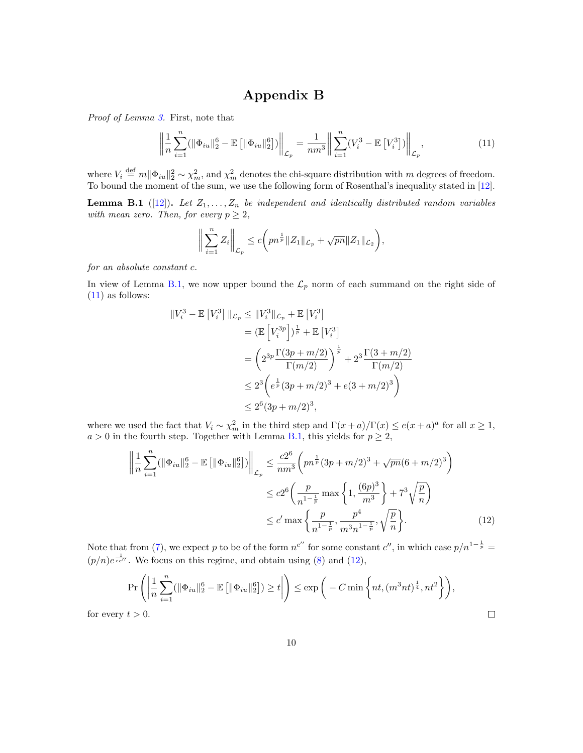## <span id="page-9-2"></span>Appendix B

<span id="page-9-0"></span>Proof of Lemma [3.](#page-6-1) First, note that

$$
\left\| \frac{1}{n} \sum_{i=1}^{n} (||\Phi_{iu}||_2^6 - \mathbb{E}\left[||\Phi_{iu}||_2^6\right]) \right\|_{\mathcal{L}_p} = \frac{1}{nm^3} \left\| \sum_{i=1}^{n} (V_i^3 - \mathbb{E}\left[V_i^3\right]) \right\|_{\mathcal{L}_p},\tag{11}
$$

where  $V_i \stackrel{\text{def}}{=} m \|\Phi_{iu}\|_2^2 \sim \chi_m^2$ , and  $\chi_m^2$  denotes the chi-square distribution with m degrees of freedom. To bound the moment of the sum, we use the following form of Rosenthal's inequality stated in [\[12\]](#page-12-14).

<span id="page-9-1"></span>**Lemma B.1** ([\[12\]](#page-12-14)). Let  $Z_1, \ldots, Z_n$  be independent and identically distributed random variables with mean zero. Then, for every  $p \geq 2$ ,

$$
\bigg\|\sum_{i=1}^n Z_i\bigg\|_{\mathcal{L}_p} \leq c \bigg(pn^{\frac{1}{p}} \|Z_1\|_{\mathcal{L}_p} + \sqrt{pn} \|Z_1\|_{\mathcal{L}_2}\bigg),
$$

for an absolute constant c.

In view of Lemma [B.1,](#page-9-1) we now upper bound the  $\mathcal{L}_p$  norm of each summand on the right side of [\(11\)](#page-9-2) as follows:

$$
||V_i^3 - \mathbb{E}[V_i^3]||_{\mathcal{L}_p} \le ||V_i^3||_{\mathcal{L}_p} + \mathbb{E}[V_i^3]
$$
  
=  $(\mathbb{E}[V_i^{3p}])^{\frac{1}{p}} + \mathbb{E}[V_i^3]$   
=  $\left(2^{3p}\frac{\Gamma(3p+m/2)}{\Gamma(m/2)}\right)^{\frac{1}{p}} + 2^3\frac{\Gamma(3+m/2)}{\Gamma(m/2)}$   
 $\le 2^3\left(e^{\frac{1}{p}}(3p+m/2)^3 + e(3+m/2)^3\right)$   
 $\le 2^6(3p+m/2)^3,$ 

where we used the fact that  $V_i \sim \chi_m^2$  in the third step and  $\Gamma(x+a)/\Gamma(x) \leq e(x+a)^a$  for all  $x \geq 1$ ,  $a > 0$  in the fourth step. Together with Lemma [B.1,](#page-9-1) this yields for  $p \geq 2$ ,

$$
\left\| \frac{1}{n} \sum_{i=1}^{n} (\|\Phi_{iu}\|_2^6 - \mathbb{E}\left[ \|\Phi_{iu}\|_2^6 \right]) \right\|_{\mathcal{L}_p} \le \frac{c2^6}{nm^3} \left( pn^{\frac{1}{p}} (3p + m/2)^3 + \sqrt{pn} (6 + m/2)^3 \right)
$$
  

$$
\le c2^6 \left( \frac{p}{n^{1-\frac{1}{p}}} \max\left\{ 1, \frac{(6p)^3}{m^3} \right\} + 7^3 \sqrt{\frac{p}{n}} \right)
$$
  

$$
\le c' \max\left\{ \frac{p}{n^{1-\frac{1}{p}}}, \frac{p^4}{m^3 n^{1-\frac{1}{p}}}, \sqrt{\frac{p}{n}} \right\}.
$$
 (12)

Note that from [\(7\)](#page-6-2), we expect p to be of the form  $n^{c''}$  for some constant  $c''$ , in which case  $p/n^{1-\frac{1}{p}} =$  $(p/n)e^{\frac{1}{ec''}}$ . We focus on this regime, and obtain using [\(8\)](#page-6-3) and [\(12\)](#page-9-1),

$$
\Pr\left(\left|\frac{1}{n}\sum_{i=1}^{n}(\left\|\Phi_{iu}\right\|_{2}^{6}-\mathbb{E}\left[\left\|\Phi_{iu}\right\|_{2}^{6}\right])\geq t\right|\right)\leq \exp\left(-C\min\left\{nt,(m^{3}nt)^{\frac{1}{4}},nt^{2}\right\}\right),
$$
  

$$
t>0.
$$

for every  $t > 0$ .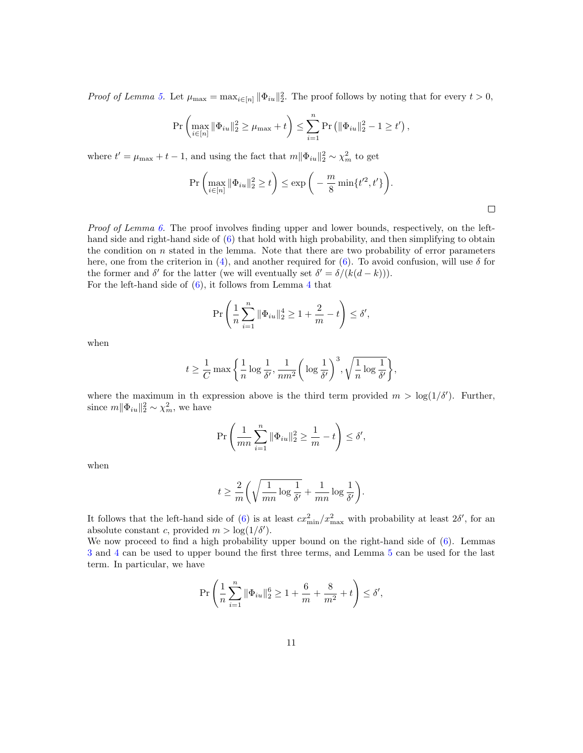Proof of Lemma [5.](#page-7-3) Let  $\mu_{\max} = \max_{i \in [n]} ||\Phi_{iu}||_2^2$ . The proof follows by noting that for every  $t > 0$ ,

$$
\Pr\left(\max_{i\in[n]}\|\Phi_{iu}\|_{2}^{2} \geq \mu_{\max} + t\right) \leq \sum_{i=1}^{n} \Pr\left(\|\Phi_{iu}\|_{2}^{2} - 1 \geq t'\right),
$$

where  $t' = \mu_{\text{max}} + t - 1$ , and using the fact that  $m||\Phi_{iu}||_2^2 \sim \chi_m^2$  to get

$$
\Pr\left(\max_{i\in[n]}\|\Phi_{iu}\|_2^2 \ge t\right) \le \exp\bigg(-\frac{m}{8}\min\{t'^2,t'\}\bigg).
$$

Proof of Lemma [6.](#page-7-2) The proof involves finding upper and lower bounds, respectively, on the lefthand side and right-hand side of  $(6)$  that hold with high probability, and then simplifying to obtain the condition on  $n$  stated in the lemma. Note that there are two probability of error parameters here, one from the criterion in [\(4\)](#page-4-0), and another required for [\(6\)](#page-6-0). To avoid confusion, will use  $\delta$  for the former and  $\delta'$  for the latter (we will eventually set  $\delta' = \delta/(k(d-k))$ ). For the left-hand side of  $(6)$ , it follows from Lemma [4](#page-6-4) that

$$
\Pr\left(\frac{1}{n}\sum_{i=1}^{n} \|\Phi_{iu}\|_{2}^{4} \ge 1 + \frac{2}{m} - t\right) \le \delta',
$$

when

$$
t \ge \frac{1}{C} \max \bigg\{ \frac{1}{n} \log \frac{1}{\delta'}, \frac{1}{nm^2} \bigg( \log \frac{1}{\delta'} \bigg)^3, \sqrt{\frac{1}{n} \log \frac{1}{\delta'}} \bigg\},\
$$

where the maximum in th expression above is the third term provided  $m > \log(1/\delta')$ . Further, since  $m||\Phi_{iu}||_2^2 \sim \chi_m^2$ , we have

$$
\Pr\left(\frac{1}{mn}\sum_{i=1}^n \|\Phi_{iu}\|_2^2 \ge \frac{1}{m} - t\right) \le \delta',
$$

when

$$
t \geq \frac{2}{m} \bigg( \sqrt{\frac{1}{mn} \log \frac{1}{\delta'}} + \frac{1}{mn} \log \frac{1}{\delta'} \bigg)
$$

.

It follows that the left-hand side of [\(6\)](#page-6-0) is at least  $cx_{\min}^2/x_{\max}^2$  with probability at least  $2\delta'$ , for an absolute constant c, provided  $m > \log(1/\delta')$ .

We now proceed to find a high probability upper bound on the right-hand side of [\(6\)](#page-6-0). Lemmas [3](#page-6-1) and [4](#page-6-4) can be used to upper bound the first three terms, and Lemma [5](#page-7-3) can be used for the last term. In particular, we have

$$
\Pr\left(\frac{1}{n}\sum_{i=1}^{n} \|\Phi_{iu}\|_{2}^{6} \geq 1 + \frac{6}{m} + \frac{8}{m^{2}} + t\right) \leq \delta',
$$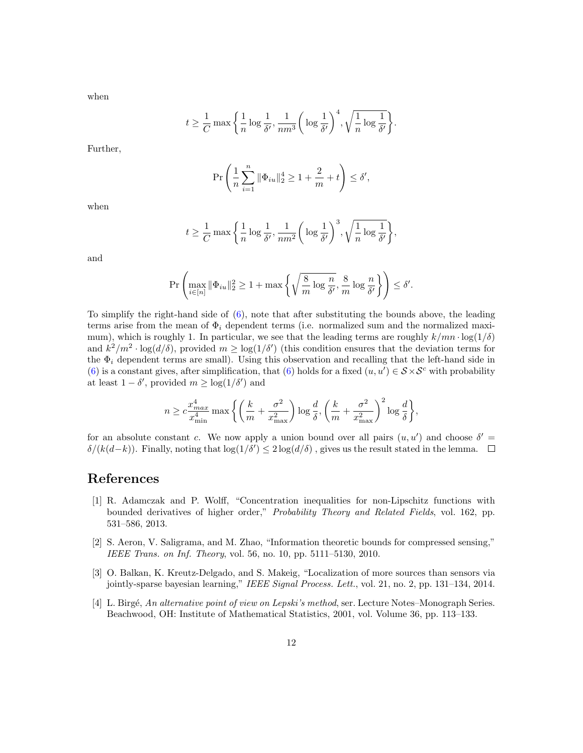when

$$
t \ge \frac{1}{C} \max \left\{ \frac{1}{n} \log \frac{1}{\delta'}, \frac{1}{nm^3} \left( \log \frac{1}{\delta'} \right)^4, \sqrt{\frac{1}{n} \log \frac{1}{\delta'}} \right\}
$$

.

Further,

$$
\Pr\left(\frac{1}{n}\sum_{i=1}^{n} \|\Phi_{iu}\|_{2}^{4} \ge 1 + \frac{2}{m} + t\right) \le \delta',
$$

when

$$
t \ge \frac{1}{C} \max\bigg\{\frac{1}{n}\log\frac{1}{\delta'}, \frac{1}{nm^2}\bigg(\log\frac{1}{\delta'}\bigg)^3, \sqrt{\frac{1}{n}\log\frac{1}{\delta'}}\bigg\},\
$$

and

$$
\Pr\left(\max_{i\in[n]}\|\Phi_{iu}\|_2^2\geq 1+\max\left\{\sqrt{\frac{8}{m}\log\frac{n}{\delta'}},\frac{8}{m}\log\frac{n}{\delta'}\right\}\right)\leq \delta'.
$$

To simplify the right-hand side of  $(6)$ , note that after substituting the bounds above, the leading terms arise from the mean of  $\Phi_i$  dependent terms (i.e. normalized sum and the normalized maximum), which is roughly 1. In particular, we see that the leading terms are roughly  $k/mn \cdot \log(1/\delta)$ and  $k^2/m^2 \cdot \log(d/\delta)$ , provided  $m \geq \log(1/\delta')$  (this condition ensures that the deviation terms for the  $\Phi_i$  dependent terms are small). Using this observation and recalling that the left-hand side in [\(6\)](#page-6-0) is a constant gives, after simplification, that [\(6\)](#page-6-0) holds for a fixed  $(u, u') \in S \times S^c$  with probability at least  $1 - \delta'$ , provided  $m \geq \log(1/\delta')$  and

$$
n \geq c \frac{x_{max}^4}{x_{\min}^4} \max\bigg\{\bigg(\frac{k}{m} + \frac{\sigma^2}{x_{\max}^2}\bigg) \log \frac{d}{\delta}, \bigg(\frac{k}{m} + \frac{\sigma^2}{x_{\max}^2}\bigg)^2 \log \frac{d}{\delta}\bigg\},
$$

for an absolute constant c. We now apply a union bound over all pairs  $(u, u')$  and choose  $\delta' =$  $\delta/(k(d-k))$ . Finally, noting that  $\log(1/\delta') \leq 2 \log(d/\delta)$ , gives us the result stated in the lemma.

## References

- <span id="page-11-2"></span>[1] R. Adamczak and P. Wolff, "Concentration inequalities for non-Lipschitz functions with bounded derivatives of higher order," Probability Theory and Related Fields, vol. 162, pp. 531–586, 2013.
- <span id="page-11-0"></span>[2] S. Aeron, V. Saligrama, and M. Zhao, "Information theoretic bounds for compressed sensing," IEEE Trans. on Inf. Theory, vol. 56, no. 10, pp. 5111–5130, 2010.
- <span id="page-11-1"></span>[3] O. Balkan, K. Kreutz-Delgado, and S. Makeig, "Localization of more sources than sensors via jointly-sparse bayesian learning," IEEE Signal Process. Lett., vol. 21, no. 2, pp. 131–134, 2014.
- <span id="page-11-3"></span>[4] L. Birgé, An alternative point of view on Lepski's method, ser. Lecture Notes–Monograph Series. Beachwood, OH: Institute of Mathematical Statistics, 2001, vol. Volume 36, pp. 113–133.